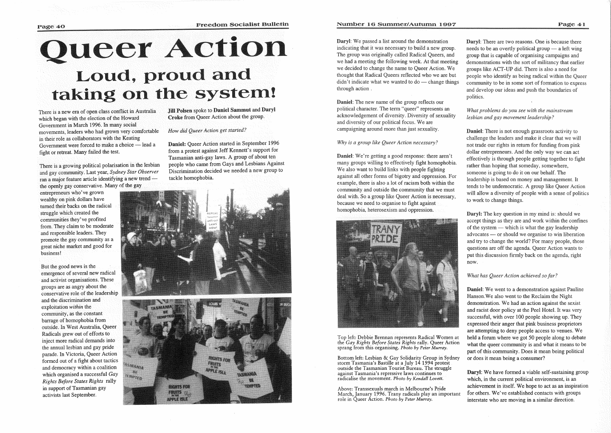# **Queer Action**<br>Loud, proud and taking on the system!

There is a new era of open class conflict in Australia which began with the election of the Howard Government in March 1996. In many social movements, leaders who had grown very comfortable in their role as collaborators with the Keating Government were forced to make a choice - lead a fight or retreat. Many failed the test.

There is a growing political polarisation in the lesbian and gay community. Last year, *Sydney Star Observer*  ran a major feature article identifying a new trend  $$ the openly gay conservative. Many of the gay

entrepreneurs who've grown wealthy on pink dollars have turned their backs on the radical struggle which created the communities they've profited from. They claim to be moderate and responsible leaders. They promote the gay community as a great niche market and good for business!

Daniel: Queer Action started in September 1996 from a protest against Jeff Kennett's support for Tasmanian anti-gay laws. A group of about ten people who came from Gays and Lesbians Against Discrimination decided we needed a new group to tackle homophobia.





Daryl: We passed a list around the demonstration indicating that it was necessary to build a new group. The group was originally called Radical Oueers, and we had a meeting the following week. At that meeting we decided to change the name to Queer Action. We thought that Radical Queers reflected who we are but  $d$ idn't indicate what we wanted to  $d$ o — change things through action .

But the good news is the emergence of several new radical and activist organisations. These groups are as angry about the conservative role of the leadership and the discrimination and exploitation *within* the community, as the constant barrage of homophobia from outside. In West Australia, Queer Radicals grew out of efforts to inject more radical demands into the annual lesbian and gay pride parade. In Victoria, Queer Action formed out of a fight about tactics and democracy within a coalition which organised a successful *Gay Rights Before States Rights* rally in support of Tasmanian gay activists last September.

Jill Polsen spoke to Daniel Sammut and Daryl Croke from Queer Action about the group.

*How Queer Action get started?* 

# Number 16 Summer/Autumn 1997

**Daryl:** There are two reasons. One is because there needs to be an overtly political group  $-$  a left wing group that is capable of organising campaigns and demonstrations with the sort of militancy that earlier groups like ACT-UP did. There is also a need people who identify as being radical within the Queer community to be in some sort of formation to express and develop our ideas and push the boundaries of politics.

# What problems do you see with the mainstream *lesbian and gay movement leadership?*

**Daniel:** There is not enough grassroots activity to challenge the leaders and make it clear that we will not trade our rights in return for funding from pink dollar entrepreneurs. And the only way we can act effectively is through people getting together to fight rather than hoping that someday, somewhere, someone is going to do it on our behalf. The leadership is based on money and management. It tends to be undemocratic. A group like Queer Action will allow a diversity of people with a sense of politics to work to change things.

Daniel: The new name of the group reflects our political character. The term "queer" represents an acknowledgement of diversity. Diversity of sexuality and diversity of our political focus. We are campaigning around more than just sexuality.

> **Daryl:** The key question in my mind is: should we accept things as they are and work within the confines of the system  $-$  which is what the gay leadership advocates — or should we organise to win liberation and try to change the world? For many people, those questions are off the agenda. Queer Action wants to put this discussion firmly back on the agenda, right now.

# *Why is a group like Queer Action necessary?*

Daniel: We're getting a good response: there aren't many groups willing to effectively fight homophobia. We also want to build links with people fighting against all other forms of bigotry and oppression. For example, there is also a lot of racism both within the community and outside the community that we must deal with. So a group like Queer Action is necessary, because we need to organise to fight against homophobia, heterosexism and oppression.



Daryl: We have formed a viable self-sustaining group which, in the current political environment, is an achievement in itself. We hope to act as an inspiration for others. We've established contacts with groups interstate who are moving in a similar direction.

Top left: Debbie Brennan represents Radical Women at the *Gay Rights Before States Rights* rally. Queer Action sprang from this organising. *Photo by Peter Murray.* 

Bottom left: Lesbian & Gay Solidarity Group in Sydney storm Tasmania's Bastille at a July 14 1994 protest outside the Tasmanian Tourist Bureau. The struggle against Tasmania's repressive laws continues to radicalise the movement. *Photo by Kendall Lovett.* 

Above: Transsexuals march in Melbourne's Pride March, January 1996. Trany radicals play an important role in Queer Action. *Photo by Peter Murray.* 

### *What has Queer Action achieved so far?*

Daniel: We went to a demonstration against Pauline Hanson.We also went to the Reclaim the Night demonstration. We had an action against the sexist and racist door policy at the Peel Hotel. It was very successful, with over 100 people showing up. They expressed their anger that pink business proprietors are attempting to deny people access to venues. We held a forum where we got 50 people along to debate what the queer community is and what it means to be part of this community. Does it mean being political or does it mean being a consumer?